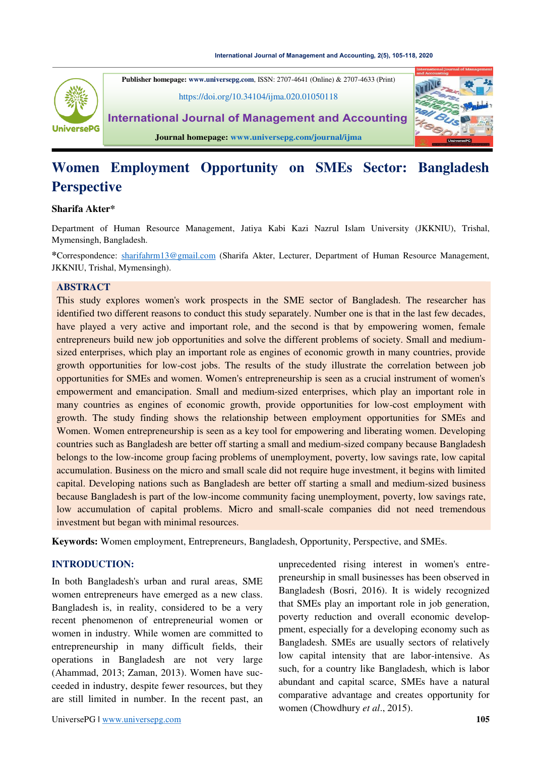

**Publisher homepage: [www.universepg.com](http://www.universepg.com/)**, ISSN: 2707-4641 (Online) & 2707-4633 (Print) <https://doi.org/10.34104/ijma.020.01050118> **International Journal of Management and Accounting Journal homepage[: www.universepg.com/journal/ijma](http://www.universepg.com/journal/ijma)**



#### **Sharifa Akter\***

Department of Human Resource Management, Jatiya Kabi Kazi Nazrul Islam University (JKKNIU), Trishal, Mymensingh, Bangladesh.

**\***Correspondence: [sharifahrm13@gmail.com](mailto:sharifahrm13@gmail.com) (Sharifa Akter, Lecturer, Department of Human Resource Management, JKKNIU, Trishal, Mymensingh).

#### **ABSTRACT**

This study explores women's work prospects in the SME sector of Bangladesh. The researcher has identified two different reasons to conduct this study separately. Number one is that in the last few decades, have played a very active and important role, and the second is that by empowering women, female entrepreneurs build new job opportunities and solve the different problems of society. Small and mediumsized enterprises, which play an important role as engines of economic growth in many countries, provide growth opportunities for low-cost jobs. The results of the study illustrate the correlation between job opportunities for SMEs and women. Women's entrepreneurship is seen as a crucial instrument of women's empowerment and emancipation. Small and medium-sized enterprises, which play an important role in many countries as engines of economic growth, provide opportunities for low-cost employment with growth. The study finding shows the relationship between employment opportunities for SMEs and Women. Women entrepreneurship is seen as a key tool for empowering and liberating women. Developing countries such as Bangladesh are better off starting a small and medium-sized company because Bangladesh belongs to the low-income group facing problems of unemployment, poverty, low savings rate, low capital accumulation. Business on the micro and small scale did not require huge investment, it begins with limited capital. Developing nations such as Bangladesh are better off starting a small and medium-sized business because Bangladesh is part of the low-income community facing unemployment, poverty, low savings rate, low accumulation of capital problems. Micro and small-scale companies did not need tremendous investment but began with minimal resources.

**Keywords:** Women employment, Entrepreneurs, Bangladesh, Opportunity, Perspective, and SMEs.

#### **INTRODUCTION:**

In both Bangladesh's urban and rural areas, SME women entrepreneurs have emerged as a new class. Bangladesh is, in reality, considered to be a very recent phenomenon of entrepreneurial women or women in industry. While women are committed to entrepreneurship in many difficult fields, their operations in Bangladesh are not very large (Ahammad, 2013; Zaman, 2013). Women have succeeded in industry, despite fewer resources, but they are still limited in number. In the recent past, an unprecedented rising interest in women's entrepreneurship in small businesses has been observed in Bangladesh (Bosri, 2016). It is widely recognized that SMEs play an important role in job generation, poverty reduction and overall economic developpment, especially for a developing economy such as Bangladesh. SMEs are usually sectors of relatively low capital intensity that are labor-intensive. As such, for a country like Bangladesh, which is labor abundant and capital scarce, SMEs have a natural comparative advantage and creates opportunity for women (Chowdhury *et al*., 2015).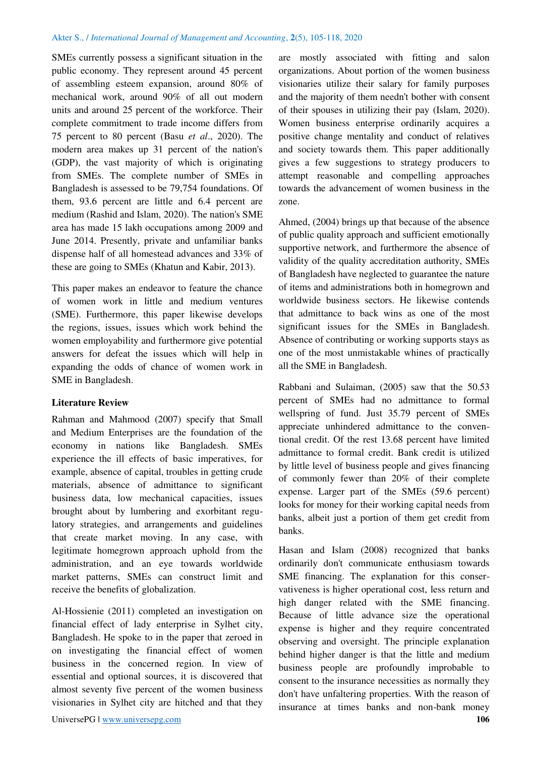SMEs currently possess a significant situation in the public economy. They represent around 45 percent of assembling esteem expansion, around 80% of mechanical work, around 90% of all out modern units and around 25 percent of the workforce. Their complete commitment to trade income differs from 75 percent to 80 percent (Basu *et al*., 2020). The modern area makes up 31 percent of the nation's (GDP), the vast majority of which is originating from SMEs. The complete number of SMEs in Bangladesh is assessed to be 79,754 foundations. Of them, 93.6 percent are little and 6.4 percent are medium (Rashid and Islam, 2020). The nation's SME area has made 15 lakh occupations among 2009 and June 2014. Presently, private and unfamiliar banks dispense half of all homestead advances and 33% of these are going to SMEs (Khatun and Kabir, 2013).

This paper makes an endeavor to feature the chance of women work in little and medium ventures (SME). Furthermore, this paper likewise develops the regions, issues, issues which work behind the women employability and furthermore give potential answers for defeat the issues which will help in expanding the odds of chance of women work in SME in Bangladesh.

# **Literature Review**

Rahman and Mahmood (2007) specify that Small and Medium Enterprises are the foundation of the economy in nations like Bangladesh. SMEs experience the ill effects of basic imperatives, for example, absence of capital, troubles in getting crude materials, absence of admittance to significant business data, low mechanical capacities, issues brought about by lumbering and exorbitant regulatory strategies, and arrangements and guidelines that create market moving. In any case, with legitimate homegrown approach uphold from the administration, and an eye towards worldwide market patterns, SMEs can construct limit and receive the benefits of globalization.

Al-Hossienie (2011) completed an investigation on financial effect of lady enterprise in Sylhet city, Bangladesh. He spoke to in the paper that zeroed in on investigating the financial effect of women business in the concerned region. In view of essential and optional sources, it is discovered that almost seventy five percent of the women business visionaries in Sylhet city are hitched and that they are mostly associated with fitting and salon organizations. About portion of the women business visionaries utilize their salary for family purposes and the majority of them needn't bother with consent of their spouses in utilizing their pay (Islam, 2020). Women business enterprise ordinarily acquires a positive change mentality and conduct of relatives and society towards them. This paper additionally gives a few suggestions to strategy producers to attempt reasonable and compelling approaches towards the advancement of women business in the zone.

Ahmed, (2004) brings up that because of the absence of public quality approach and sufficient emotionally supportive network, and furthermore the absence of validity of the quality accreditation authority, SMEs of Bangladesh have neglected to guarantee the nature of items and administrations both in homegrown and worldwide business sectors. He likewise contends that admittance to back wins as one of the most significant issues for the SMEs in Bangladesh. Absence of contributing or working supports stays as one of the most unmistakable whines of practically all the SME in Bangladesh.

Rabbani and Sulaiman, (2005) saw that the 50.53 percent of SMEs had no admittance to formal wellspring of fund. Just 35.79 percent of SMEs appreciate unhindered admittance to the conventional credit. Of the rest 13.68 percent have limited admittance to formal credit. Bank credit is utilized by little level of business people and gives financing of commonly fewer than 20% of their complete expense. Larger part of the SMEs (59.6 percent) looks for money for their working capital needs from banks, albeit just a portion of them get credit from banks.

Hasan and Islam (2008) recognized that banks ordinarily don't communicate enthusiasm towards SME financing. The explanation for this conservativeness is higher operational cost, less return and high danger related with the SME financing. Because of little advance size the operational expense is higher and they require concentrated observing and oversight. The principle explanation behind higher danger is that the little and medium business people are profoundly improbable to consent to the insurance necessities as normally they don't have unfaltering properties. With the reason of insurance at times banks and non-bank money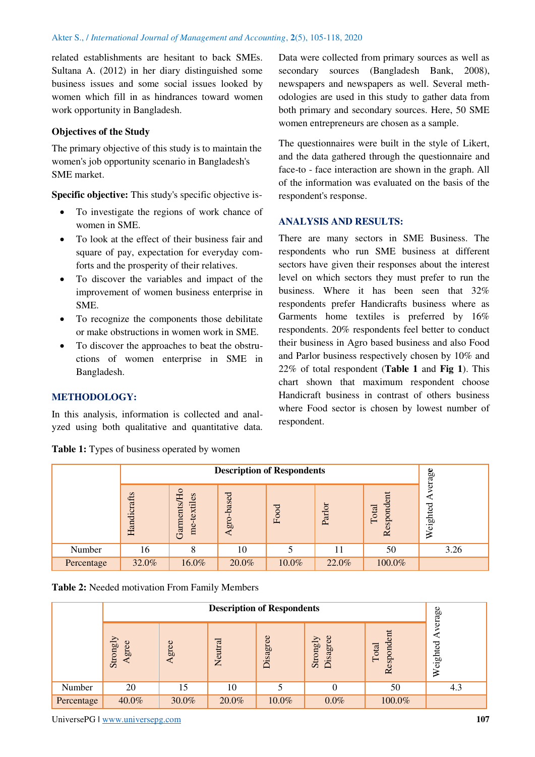related establishments are hesitant to back SMEs. Sultana A. (2012) in her diary distinguished some business issues and some social issues looked by women which fill in as hindrances toward women work opportunity in Bangladesh.

# **Objectives of the Study**

The primary objective of this study is to maintain the women's job opportunity scenario in Bangladesh's SME market.

**Specific objective:** This study's specific objective is-

- To investigate the regions of work chance of women in SME.
- To look at the effect of their business fair and square of pay, expectation for everyday comforts and the prosperity of their relatives.
- To discover the variables and impact of the improvement of women business enterprise in SME.
- To recognize the components those debilitate or make obstructions in women work in SME.
- To discover the approaches to beat the obstructions of women enterprise in SME in Bangladesh.

# **METHODOLOGY:**

In this analysis, information is collected and analyzed using both qualitative and quantitative data.

**Table 1:** Types of business operated by women

Data were collected from primary sources as well as secondary sources (Bangladesh Bank, 2008), newspapers and newspapers as well. Several methodologies are used in this study to gather data from both primary and secondary sources. Here, 50 SME women entrepreneurs are chosen as a sample.

The questionnaires were built in the style of Likert, and the data gathered through the questionnaire and face-to - face interaction are shown in the graph. All of the information was evaluated on the basis of the respondent's response.

# **ANALYSIS AND RESULTS:**

There are many sectors in SME Business. The respondents who run SME business at different sectors have given their responses about the interest level on which sectors they must prefer to run the business. Where it has been seen that 32% respondents prefer Handicrafts business where as Garments home textiles is preferred by 16% respondents. 20% respondents feel better to conduct their business in Agro based business and also Food and Parlor business respectively chosen by 10% and 22% of total respondent (**Table 1** and **Fig 1**). This chart shown that maximum respondent choose Handicraft business in contrast of others business where Food sector is chosen by lowest number of respondent.

|            |             | verage                            |                |       |        |                                                   |          |
|------------|-------------|-----------------------------------|----------------|-------|--------|---------------------------------------------------|----------|
|            | Handicrafts | Hо<br>textiles<br>Garments<br>me- | gro-based<br>⋖ | Food  | Parlor | Ħ<br>sponde<br>Total<br>$\mathbf{d}$<br>$\approx$ | Weighted |
| Number     | 16          | 8                                 | 10             | 5     | 11     | 50                                                | 3.26     |
| Percentage | 32.0%       | 16.0%                             | 20.0%          | 10.0% | 22.0%  | 100.0%                                            |          |

**Table 2:** Needed motivation From Family Members

|            | <b>Description of Respondents</b>        |           |         |          |                      |                     |                   |  |
|------------|------------------------------------------|-----------|---------|----------|----------------------|---------------------|-------------------|--|
|            | Strongly<br>gree<br>$\blacktriangleleft$ | gree<br>⋖ | Neutral | Disagree | Disagree<br>Strongly | Respondent<br>Total | erage<br>Weighted |  |
| Number     | 20                                       | 15        | 10      |          | U                    | 50                  | 4.3               |  |
| Percentage | 40.0%                                    | 30.0%     | 20.0%   | 10.0%    | $0.0\%$              | 100.0%              |                   |  |

UniversePG l [www.universepg.com](http://www.universepg.com/) **107 107**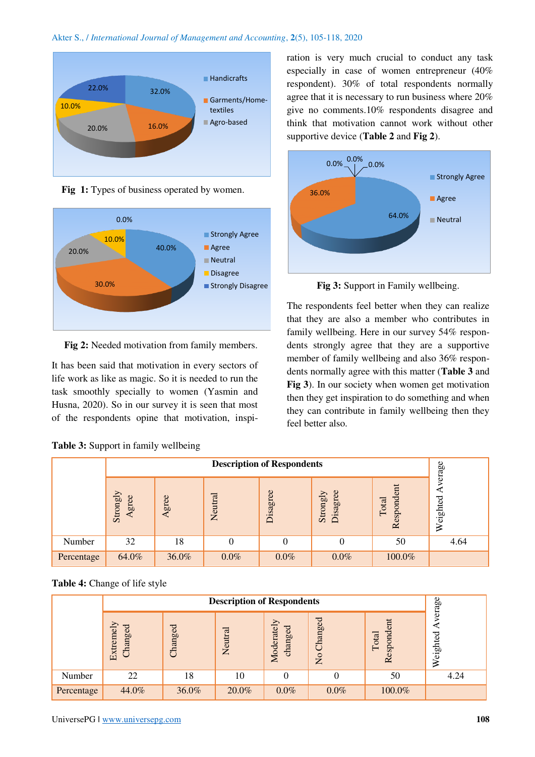



Fig 1: Types of business operated by women.



**Fig 2:** Needed motivation from family members.

It has been said that motivation in every sectors of life work as like as magic. So it is needed to run the task smoothly specially to women (Yasmin and Husna, 2020). So in our survey it is seen that most of the respondents opine that motivation, inspi-

|  |  | Table 3: Support in family wellbeing |
|--|--|--------------------------------------|
|  |  |                                      |

ration is very much crucial to conduct any task especially in case of women entrepreneur (40% respondent). 30% of total respondents normally agree that it is necessary to run business where 20% give no comments.10% respondents disagree and think that motivation cannot work without other supportive device (**Table 2** and **Fig 2**).



**Fig 3:** Support in Family wellbeing.

The respondents feel better when they can realize that they are also a member who contributes in family wellbeing. Here in our survey 54% respondents strongly agree that they are a supportive member of family wellbeing and also 36% respondents normally agree with this matter (**Table 3** and **Fig 3**). In our society when women get motivation then they get inspiration to do something and when they can contribute in family wellbeing then they feel better also.

|            |                   | verage                                                                                                         |          |         |         |        |      |
|------------|-------------------|----------------------------------------------------------------------------------------------------------------|----------|---------|---------|--------|------|
|            | Strongly<br>Agree | spondent<br>Disagree<br>Disagree<br>Strongly<br>Neutral<br>gree<br>Weighted<br>Total<br>$\triangleleft$<br>Rei |          |         |         |        |      |
| Number     | 32                | 18                                                                                                             | $\theta$ | 0       | 0       | 50     | 4.64 |
| Percentage | 64.0%             | 36.0%                                                                                                          | $0.0\%$  | $0.0\%$ | $0.0\%$ | 100.0% |      |

# **Table 4:** Change of life style

|            |                           | verage                                                                                                |       |         |         |        |      |  |  |
|------------|---------------------------|-------------------------------------------------------------------------------------------------------|-------|---------|---------|--------|------|--|--|
|            | Extremely<br>ರ<br>Changeo | Changed<br>Respondent<br>Moderately<br><b>hanged</b><br>changed<br>Neutral<br>Total<br>$\overline{M}$ |       |         |         |        |      |  |  |
| Number     | 22                        | 18                                                                                                    | 10    |         |         | 50     | 4.24 |  |  |
| Percentage | 44.0%                     | 36.0%                                                                                                 | 20.0% | $0.0\%$ | $0.0\%$ | 100.0% |      |  |  |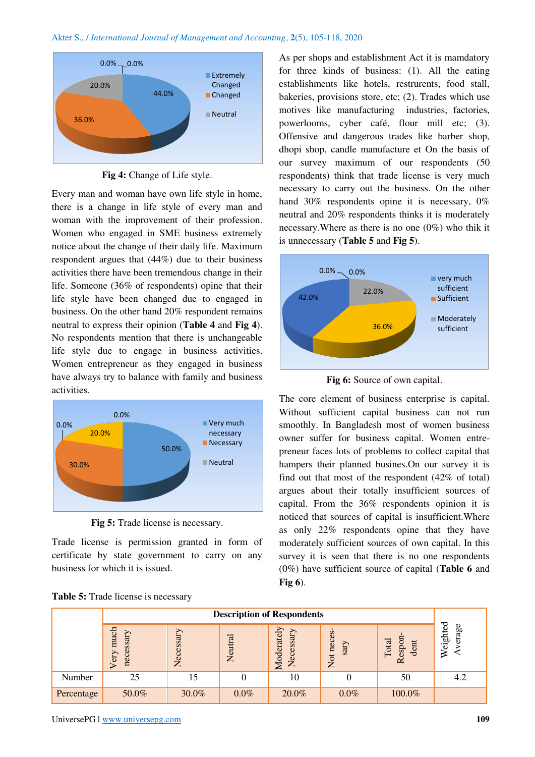

**Fig 4:** Change of Life style.

Every man and woman have own life style in home, there is a change in life style of every man and woman with the improvement of their profession. Women who engaged in SME business extremely notice about the change of their daily life. Maximum respondent argues that (44%) due to their business activities there have been tremendous change in their life. Someone (36% of respondents) opine that their life style have been changed due to engaged in business. On the other hand 20% respondent remains neutral to express their opinion (**Table 4** and **Fig 4**). No respondents mention that there is unchangeable life style due to engage in business activities. Women entrepreneur as they engaged in business have always try to balance with family and business activities.



**Fig 5:** Trade license is necessary.

Trade license is permission granted in form of certificate by state government to carry on any business for which it is issued.

As per shops and establishment Act it is mamdatory for three kinds of business: (1). All the eating establishments like hotels, restrurents, food stall, bakeries, provisions store, etc; (2). Trades which use motives like manufacturing industries, factories, powerlooms, cyber café, flour mill etc; (3). Offensive and dangerous trades like barber shop, dhopi shop, candle manufacture et On the basis of our survey maximum of our respondents (50 respondents) think that trade license is very much necessary to carry out the business. On the other hand 30% respondents opine it is necessary, 0% neutral and 20% respondents thinks it is moderately necessary.Where as there is no one (0%) who thik it is unnecessary (**Table 5** and **Fig 5**).



**Fig 6:** Source of own capital.

The core element of business enterprise is capital. Without sufficient capital business can not run smoothly. In Bangladesh most of women business owner suffer for business capital. Women entrepreneur faces lots of problems to collect capital that hampers their planned busines.On our survey it is find out that most of the respondent (42% of total) argues about their totally insufficient sources of capital. From the 36% respondents opinion it is noticed that sources of capital is insufficient.Where as only 22% respondents opine that they have moderately sufficient sources of own capital. In this survey it is seen that there is no one respondents (0%) have sufficient source of capital (**Table 6** and **Fig 6**).

|            | <b>Description of Respondents</b>                                                                                                                                                                   |       |         |       |         |        |     |  |  |
|------------|-----------------------------------------------------------------------------------------------------------------------------------------------------------------------------------------------------|-------|---------|-------|---------|--------|-----|--|--|
|            | eighted<br>Moderately<br>much<br>Necessary<br>neces<br>ssary<br>essar<br>Neutral<br>espon<br>Total<br>dent<br>sary<br>ω<br>$\triangleright$<br>≳<br>Neg<br>nec<br>Not<br>$\sigma$<br>$\approx$<br>⋝ |       |         |       |         |        |     |  |  |
| Number     | 25                                                                                                                                                                                                  | 15    |         | 10    |         | 50     | 4.2 |  |  |
| Percentage | 50.0%                                                                                                                                                                                               | 30.0% | $0.0\%$ | 20.0% | $0.0\%$ | 100.0% |     |  |  |

**Table 5:** Trade license is necessary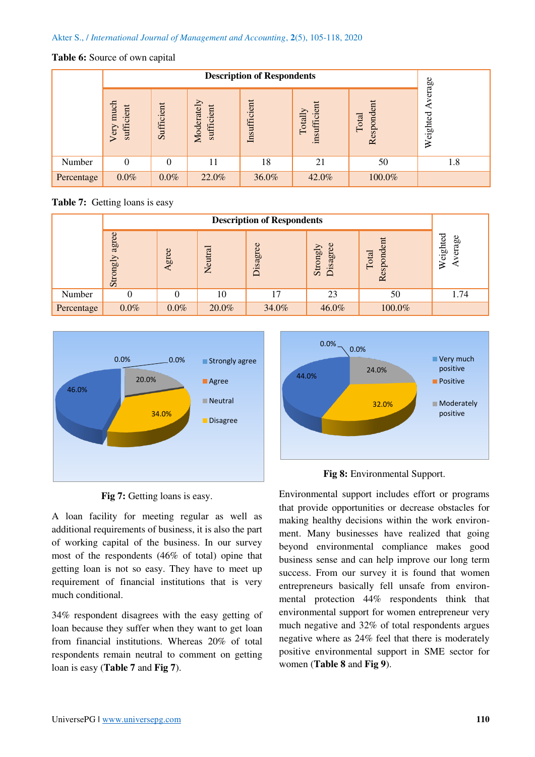## **Table 6:** Source of own capital

|            |                                | <b>Description of Respondents</b> |                          |              |                       |                     |                    |  |  |
|------------|--------------------------------|-----------------------------------|--------------------------|--------------|-----------------------|---------------------|--------------------|--|--|
|            | much<br>cient<br>suffi<br>Very | Sufficient                        | Moderately<br>sufficient | Insufficient | insufficie<br>Totally | Respondent<br>Total | verage<br>Weighted |  |  |
| Number     | $\theta$                       | 0                                 | 11                       | 18           | 21                    | 50                  | 1.8                |  |  |
| Percentage | $0.0\%$                        | $0.0\%$                           | 22.0%                    | 36.0%        | 42.0%                 | 100.0%              |                    |  |  |

**Table 7:** Getting loans is easy

|            | <b>Description of Respondents</b> |         |         |                             |                      |                                              |                       |  |
|------------|-----------------------------------|---------|---------|-----------------------------|----------------------|----------------------------------------------|-----------------------|--|
|            | agree<br>Strongly                 | gree    | Neutral | $\omega$<br>sagre<br>$\Box$ | Disagree<br>Strongly | spondent<br>Total<br>$\overline{\mathbf{z}}$ | eighted<br>erage<br>⋧ |  |
| Number     |                                   |         | 10      | 17                          | 23                   | 50                                           | 1.74                  |  |
| Percentage | $0.0\%$                           | $0.0\%$ | 20.0%   | 34.0%                       | 46.0%                | 100.0%                                       |                       |  |





A loan facility for meeting regular as well as additional requirements of business, it is also the part of working capital of the business. In our survey most of the respondents (46% of total) opine that getting loan is not so easy. They have to meet up requirement of financial institutions that is very much conditional.

34% respondent disagrees with the easy getting of loan because they suffer when they want to get loan from financial institutions. Whereas 20% of total respondents remain neutral to comment on getting loan is easy (**Table 7** and **Fig 7**).



**Fig 8:** Environmental Support.

Environmental support includes effort or programs that provide opportunities or decrease obstacles for making healthy decisions within the work environment. Many businesses have realized that going beyond environmental compliance makes good business sense and can help improve our long term success. From our survey it is found that women entrepreneurs basically fell unsafe from environmental protection 44% respondents think that environmental support for women entrepreneur very much negative and 32% of total respondents argues negative where as 24% feel that there is moderately positive environmental support in SME sector for women (**Table 8** and **Fig 9**).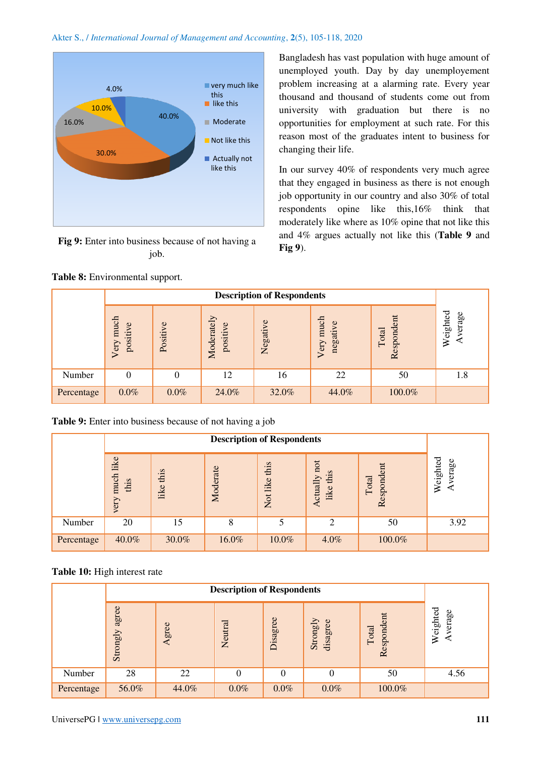

**Fig 9:** Enter into business because of not having a job.

Bangladesh has vast population with huge amount of unemployed youth. Day by day unemployement problem increasing at a alarming rate. Every year thousand and thousand of students come out from university with graduation but there is no opportunities for employment at such rate. For this reason most of the graduates intent to business for changing their life.

In our survey 40% of respondents very much agree that they engaged in business as there is not enough job opportunity in our country and also 30% of total respondents opine like this,16% think that moderately like where as 10% opine that not like this and 4% argues actually not like this (**Table 9** and **Fig 9**).

|            |                          | <b>Description of Respondents</b> |                        |          |                          |                     |                   |  |  |
|------------|--------------------------|-----------------------------------|------------------------|----------|--------------------------|---------------------|-------------------|--|--|
|            | much<br>positive<br>Very | ye<br><b>Positi</b>               | Moderately<br>positive | Negative | much<br>negative<br>Very | Respondent<br>Total | Weighted<br>erage |  |  |
| Number     |                          | 0                                 | 12                     | 16       | 22                       | 50                  | 1.8               |  |  |
| Percentage | $0.0\%$                  | $0.0\%$                           | 24.0%                  | 32.0%    | 44.0%                    | 100.0%              |                   |  |  |

|  |  |  | Table 9: Enter into business because of not having a job |  |  |  |  |
|--|--|--|----------------------------------------------------------|--|--|--|--|
|--|--|--|----------------------------------------------------------|--|--|--|--|

|            | like<br>much<br>this<br>ery | eighted<br>ctually not<br>this<br>Respondent<br>Moderate<br>this<br>this<br>Total<br>like<br>≅<br>like<br>like<br>Not |       |       |                |        |      |  |
|------------|-----------------------------|-----------------------------------------------------------------------------------------------------------------------|-------|-------|----------------|--------|------|--|
| Number     | 20                          | 15                                                                                                                    | 8     |       | $\overline{2}$ | 50     | 3.92 |  |
| Percentage | 40.0%                       | 30.0%                                                                                                                 | 16.0% | 10.0% | 4.0%           | 100.0% |      |  |

**Table 10:** High interest rate

|            | agree<br>Strongly | Agree | Neutral | Disagree | Strongly<br>disagree | spondent<br>Total<br>$\tilde{R}$ | Weighted<br>erage |
|------------|-------------------|-------|---------|----------|----------------------|----------------------------------|-------------------|
| Number     | 28                | 22    | 0       | 0        | $\theta$             | 50                               | 4.56              |
| Percentage | 56.0%             | 44.0% | $0.0\%$ | $0.0\%$  | $0.0\%$              | 100.0%                           |                   |

# **Table 8:** Environmental support.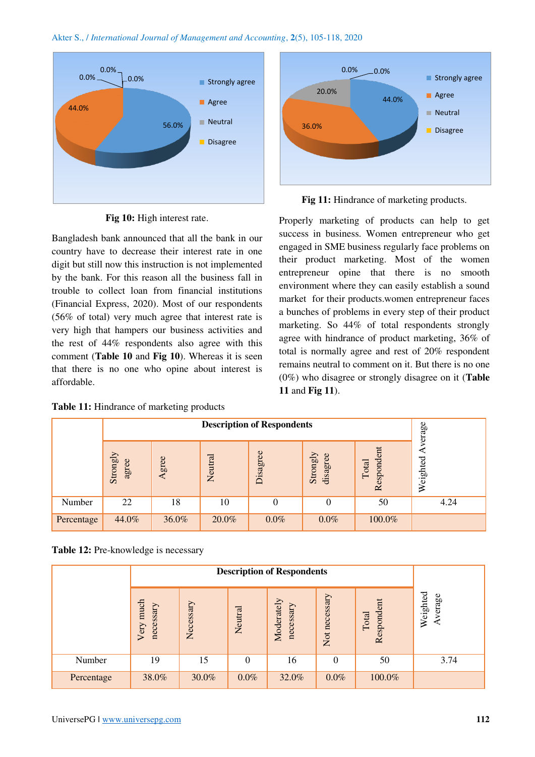



**Fig 10:** High interest rate.

Bangladesh bank announced that all the bank in our country have to decrease their interest rate in one digit but still now this instruction is not implemented by the bank. For this reason all the business fall in trouble to collect loan from financial institutions (Financial Express, 2020). Most of our respondents (56% of total) very much agree that interest rate is very high that hampers our business activities and the rest of 44% respondents also agree with this comment (**Table 10** and **Fig 10**). Whereas it is seen that there is no one who opine about interest is affordable.

**Table 11:** Hindrance of marketing products



Fig 11: Hindrance of marketing products.

Properly marketing of products can help to get success in business. Women entrepreneur who get engaged in SME business regularly face problems on their product marketing. Most of the women entrepreneur opine that there is no smooth environment where they can easily establish a sound market for their products.women entrepreneur faces a bunches of problems in every step of their product marketing. So 44% of total respondents strongly agree with hindrance of product marketing, 36% of total is normally agree and rest of 20% respondent remains neutral to comment on it. But there is no one (0%) who disagree or strongly disagree on it (**Table 11** and **Fig 11**).

|            | <b>Description of Respondents</b> |       |         |          |                      |                     |                   |  |  |
|------------|-----------------------------------|-------|---------|----------|----------------------|---------------------|-------------------|--|--|
|            | Strongly<br>agree                 | gree  | Neutral | Disagree | Strongly<br>disagree | Respondent<br>Total | erage<br>Weighted |  |  |
| Number     | 22                                | 18    | 10      | 0        | 0                    | 50                  | 4.24              |  |  |
| Percentage | 44.0%                             | 36.0% | 20.0%   | $0.0\%$  | $0.0\%$              | 100.0%              |                   |  |  |

**Table 12:** Pre-knowledge is necessary

|            | much<br>necessary<br>Very | Necessary | Neutral  | Moderately<br>necessary | Not necessary | Respondent<br>Total | Weighted<br>verage |
|------------|---------------------------|-----------|----------|-------------------------|---------------|---------------------|--------------------|
| Number     | 19                        | 15        | $\Omega$ | 16                      | 0             | 50                  | 3.74               |
| Percentage | 38.0%                     | 30.0%     | $0.0\%$  | 32.0%                   | $0.0\%$       | 100.0%              |                    |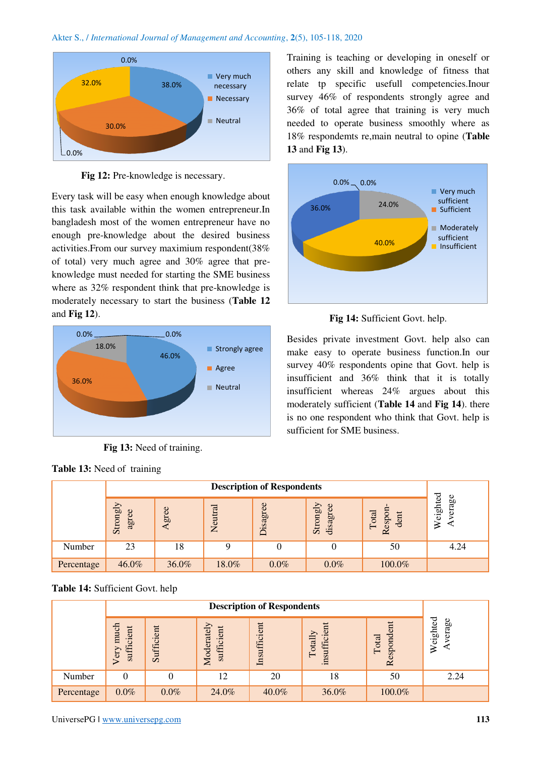

Fig 12: Pre-knowledge is necessary.

Every task will be easy when enough knowledge about this task available within the women entrepreneur.In bangladesh most of the women entrepreneur have no enough pre-knowledge about the desired business activities.From our survey maximium respondent(38% of total) very much agree and 30% agree that preknowledge must needed for starting the SME business where as 32% respondent think that pre-knowledge is moderately necessary to start the business (**Table 12** and **Fig 12**).



**Fig 13:** Need of training.

|  |  |  |  | <b>Table 13:</b> Need of training |
|--|--|--|--|-----------------------------------|
|--|--|--|--|-----------------------------------|

Training is teaching or developing in oneself or others any skill and knowledge of fitness that relate tp specific usefull competencies.Inour survey 46% of respondents strongly agree and 36% of total agree that training is very much needed to operate business smoothly where as 18% respondemts re,main neutral to opine (**Table 13** and **Fig 13**).





Besides private investment Govt. help also can make easy to operate business function.In our survey 40% respondents opine that Govt. help is insufficient and 36% think that it is totally insufficient whereas 24% argues about this moderately sufficient (**Table 14** and **Fig 14**). there is no one respondent who think that Govt. help is sufficient for SME business.

|            | Strongly<br>agree | gree  | Neutral | Disagree | Strongly<br>$\circ$<br>disagree | espor<br>Total<br>dent<br>$\overline{\alpha}$ | eighted<br>verage<br>⋧ |
|------------|-------------------|-------|---------|----------|---------------------------------|-----------------------------------------------|------------------------|
| Number     | 23                | 18    |         |          | 0                               | 50                                            | 4.24                   |
| Percentage | 46.0%             | 36.0% | 18.0%   | $0.0\%$  | $0.0\%$                         | 100.0%                                        |                        |

# **Table 14:** Sufficient Govt. help

|            |                                | <b>Description of Respondents</b> |                          |                                                                                                                                        |       |        |      |  |  |  |
|------------|--------------------------------|-----------------------------------|--------------------------|----------------------------------------------------------------------------------------------------------------------------------------|-------|--------|------|--|--|--|
|            | much<br>sufficient<br>ery<br>⊳ | Sufficient                        | Moderately<br>sufficient | ℸ<br>Φ<br>eighte<br>erag<br>Insufficient<br>spondent<br>insufficien<br>Totally<br>Total<br>≽<br>$\overline{0}$<br>$\tilde{\mathbf{K}}$ |       |        |      |  |  |  |
| Number     | 0                              | υ                                 | 12                       | 20                                                                                                                                     | 18    | 50     | 2.24 |  |  |  |
| Percentage | $0.0\%$                        | $0.0\%$                           | 24.0%                    | 40.0%                                                                                                                                  | 36.0% | 100.0% |      |  |  |  |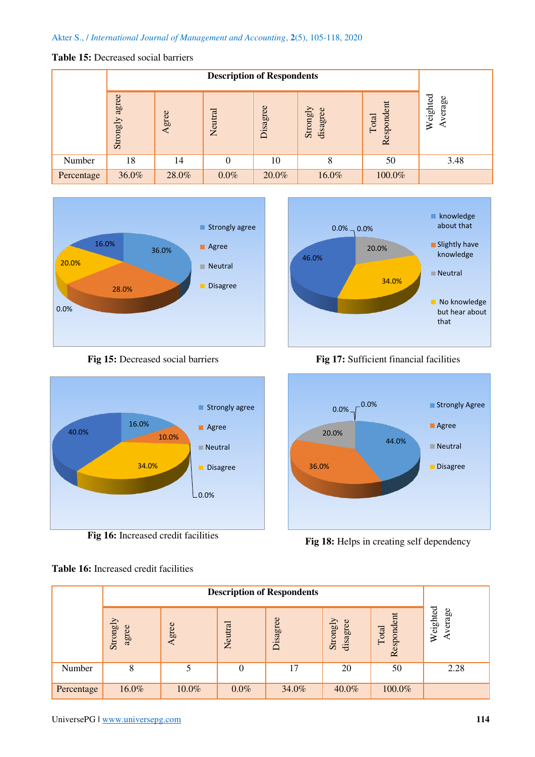# **Table 15:** Decreased social barriers

|            |                   | <b>Description of Respondents</b> |         |          |                      |                     |                    |  |  |  |  |
|------------|-------------------|-----------------------------------|---------|----------|----------------------|---------------------|--------------------|--|--|--|--|
|            | agree<br>Strongly | Agree                             | Neutral | Disagree | Strongly<br>disagree | Respondent<br>Total | Weighted<br>verage |  |  |  |  |
| Number     | 18                | 14                                |         | 10       | 8                    | 50                  | 3.48               |  |  |  |  |
| Percentage | 36.0%             | 28.0%                             | $0.0\%$ | 20.0%    | 16.0%                | 100.0%              |                    |  |  |  |  |



**Fig 15:** Decreased social barriers



**Fig 16:** Increased credit facilities

**Table 16:** Increased credit facilities



knowledge about that

 $0.0\%$   $\rightarrow$  0.0%

**Fig 17:** Sufficient financial facilities



Fig 18: Helps in creating self dependency

|            | <b>Description of Respondents</b> |           |         |          |                      |                     |                    |  |  |
|------------|-----------------------------------|-----------|---------|----------|----------------------|---------------------|--------------------|--|--|
|            | Strongly<br>agree                 | gree<br>⋖ | Neutral | Disagree | Strongly<br>disagree | Respondent<br>Total | Weighted<br>verage |  |  |
| Number     | 8                                 | 5         | 0       | 17       | 20                   | 50                  | 2.28               |  |  |
| Percentage | 16.0%                             | 10.0%     | $0.0\%$ | 34.0%    | 40.0%                | 100.0%              |                    |  |  |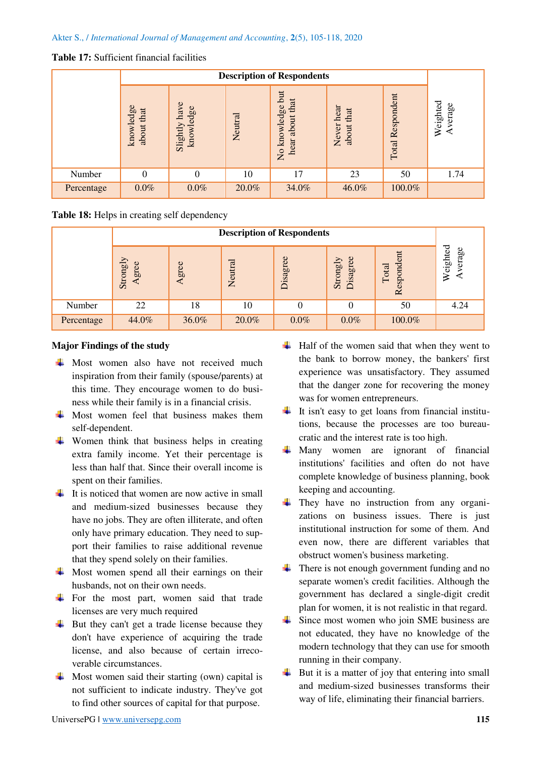# **Table 17:** Sufficient financial facilities

|            |                            | <b>Description of Respondents</b> |         |                                                             |                                |                     |                    |  |  |
|------------|----------------------------|-----------------------------------|---------|-------------------------------------------------------------|--------------------------------|---------------------|--------------------|--|--|
|            | knowledge<br>that<br>about | have<br>knowledge<br>Slightly     | Neutral | but<br>that<br>knowledge<br>about<br>hear<br>$\overline{R}$ | hear<br>that<br>Never<br>about | Respondent<br>Total | Weighted<br>verage |  |  |
| Number     | $\boldsymbol{0}$           | $\theta$                          | 10      | 17                                                          | 23                             | 50                  | 1.74               |  |  |
| Percentage | $0.0\%$                    | $0.0\%$                           | 20.0%   | 34.0%                                                       | 46.0%                          | 100.0%              |                    |  |  |

# **Table 18:** Helps in creating self dependency

|            | <b>Description of Respondents</b> |           |         |          |                      |                     |                    |  |
|------------|-----------------------------------|-----------|---------|----------|----------------------|---------------------|--------------------|--|
|            | Strongly<br>gree<br>⋖             | gree<br>⋖ | Neutral | Disagree | Disagree<br>Strongly | Respondent<br>Total | Weighted<br>verage |  |
| Number     | 22                                | 18        | 10      |          | 0                    | 50                  | 4.24               |  |
| Percentage | 44.0%                             | 36.0%     | 20.0%   | $0.0\%$  | $0.0\%$              | 100.0%              |                    |  |

# **Major Findings of the study**

- $\overline{\text{M}}$  Most women also have not received much inspiration from their family (spouse/parents) at this time. They encourage women to do business while their family is in a financial crisis.
- $\overline{\text{+}}$  Most women feel that business makes them self-dependent.
- $\downarrow$  Women think that business helps in creating extra family income. Yet their percentage is less than half that. Since their overall income is spent on their families.
- $\downarrow$  It is noticed that women are now active in small and medium-sized businesses because they have no jobs. They are often illiterate, and often only have primary education. They need to support their families to raise additional revenue that they spend solely on their families.
- $\overline{\phantom{a}}$  Most women spend all their earnings on their husbands, not on their own needs.
- $\overline{\text{F}}$  For the most part, women said that trade licenses are very much required
- $\overline{\phantom{a}}$  But they can't get a trade license because they don't have experience of acquiring the trade license, and also because of certain irrecoverable circumstances.
- $\overline{\text{Most women said their starting (own) capital is}}$ not sufficient to indicate industry. They've got to find other sources of capital for that purpose.
- $\overline{\text{H}}$  Half of the women said that when they went to the bank to borrow money, the bankers' first experience was unsatisfactory. They assumed that the danger zone for recovering the money was for women entrepreneurs.
- $\frac{1}{\sqrt{1}}$  It isn't easy to get loans from financial institutions, because the processes are too bureaucratic and the interest rate is too high.
- $\overline{\text{M}}$  Many women are ignorant of financial institutions' facilities and often do not have complete knowledge of business planning, book keeping and accounting.
- $\downarrow$  They have no instruction from any organizations on business issues. There is just institutional instruction for some of them. And even now, there are different variables that obstruct women's business marketing.
- $\downarrow$  There is not enough government funding and no separate women's credit facilities. Although the government has declared a single-digit credit plan for women, it is not realistic in that regard.
- $\overline{\phantom{a}}$  Since most women who join SME business are not educated, they have no knowledge of the modern technology that they can use for smooth running in their company.
- $\overline{\phantom{a}}$  But it is a matter of joy that entering into small and medium-sized businesses transforms their way of life, eliminating their financial barriers.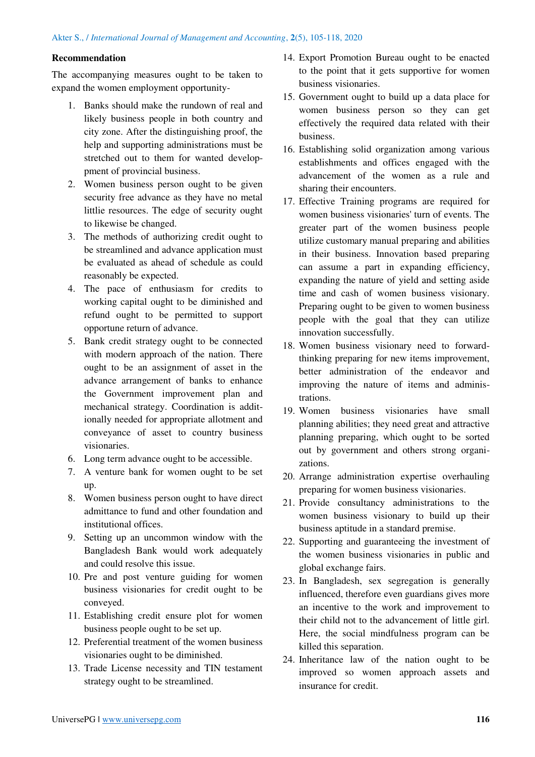## **Recommendation**

The accompanying measures ought to be taken to expand the women employment opportunity-

- 1. Banks should make the rundown of real and likely business people in both country and city zone. After the distinguishing proof, the help and supporting administrations must be stretched out to them for wanted developpment of provincial business.
- 2. Women business person ought to be given security free advance as they have no metal littlie resources. The edge of security ought to likewise be changed.
- 3. The methods of authorizing credit ought to be streamlined and advance application must be evaluated as ahead of schedule as could reasonably be expected.
- 4. The pace of enthusiasm for credits to working capital ought to be diminished and refund ought to be permitted to support opportune return of advance.
- 5. Bank credit strategy ought to be connected with modern approach of the nation. There ought to be an assignment of asset in the advance arrangement of banks to enhance the Government improvement plan and mechanical strategy. Coordination is additionally needed for appropriate allotment and conveyance of asset to country business visionaries.
- 6. Long term advance ought to be accessible.
- 7. A venture bank for women ought to be set up.
- 8. Women business person ought to have direct admittance to fund and other foundation and institutional offices.
- 9. Setting up an uncommon window with the Bangladesh Bank would work adequately and could resolve this issue.
- 10. Pre and post venture guiding for women business visionaries for credit ought to be conveyed.
- 11. Establishing credit ensure plot for women business people ought to be set up.
- 12. Preferential treatment of the women business visionaries ought to be diminished.
- 13. Trade License necessity and TIN testament strategy ought to be streamlined.
- 14. Export Promotion Bureau ought to be enacted to the point that it gets supportive for women business visionaries.
- 15. Government ought to build up a data place for women business person so they can get effectively the required data related with their business.
- 16. Establishing solid organization among various establishments and offices engaged with the advancement of the women as a rule and sharing their encounters.
- 17. Effective Training programs are required for women business visionaries' turn of events. The greater part of the women business people utilize customary manual preparing and abilities in their business. Innovation based preparing can assume a part in expanding efficiency, expanding the nature of yield and setting aside time and cash of women business visionary. Preparing ought to be given to women business people with the goal that they can utilize innovation successfully.
- 18. Women business visionary need to forwardthinking preparing for new items improvement, better administration of the endeavor and improving the nature of items and administrations.
- 19. Women business visionaries have small planning abilities; they need great and attractive planning preparing, which ought to be sorted out by government and others strong organizations.
- 20. Arrange administration expertise overhauling preparing for women business visionaries.
- 21. Provide consultancy administrations to the women business visionary to build up their business aptitude in a standard premise.
- 22. Supporting and guaranteeing the investment of the women business visionaries in public and global exchange fairs.
- 23. In Bangladesh, sex segregation is generally influenced, therefore even guardians gives more an incentive to the work and improvement to their child not to the advancement of little girl. Here, the social mindfulness program can be killed this separation.
- 24. Inheritance law of the nation ought to be improved so women approach assets and insurance for credit.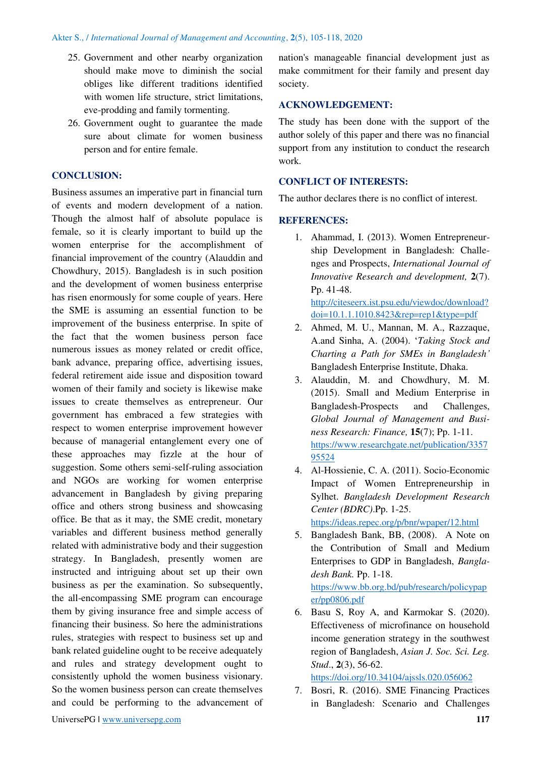- 25. Government and other nearby organization should make move to diminish the social obliges like different traditions identified with women life structure, strict limitations, eve-prodding and family tormenting.
- 26. Government ought to guarantee the made sure about climate for women business person and for entire female.

# **CONCLUSION:**

Business assumes an imperative part in financial turn of events and modern development of a nation. Though the almost half of absolute populace is female, so it is clearly important to build up the women enterprise for the accomplishment of financial improvement of the country (Alauddin and Chowdhury, 2015). Bangladesh is in such position and the development of women business enterprise has risen enormously for some couple of years. Here the SME is assuming an essential function to be improvement of the business enterprise. In spite of the fact that the women business person face numerous issues as money related or credit office, bank advance, preparing office, advertising issues, federal retirement aide issue and disposition toward women of their family and society is likewise make issues to create themselves as entrepreneur. Our government has embraced a few strategies with respect to women enterprise improvement however because of managerial entanglement every one of these approaches may fizzle at the hour of suggestion. Some others semi-self-ruling association and NGOs are working for women enterprise advancement in Bangladesh by giving preparing office and others strong business and showcasing office. Be that as it may, the SME credit, monetary variables and different business method generally related with administrative body and their suggestion strategy. In Bangladesh, presently women are instructed and intriguing about set up their own business as per the examination. So subsequently, the all-encompassing SME program can encourage them by giving insurance free and simple access of financing their business. So here the administrations rules, strategies with respect to business set up and bank related guideline ought to be receive adequately and rules and strategy development ought to consistently uphold the women business visionary. So the women business person can create themselves and could be performing to the advancement of nation's manageable financial development just as make commitment for their family and present day society.

# **ACKNOWLEDGEMENT:**

The study has been done with the support of the author solely of this paper and there was no financial support from any institution to conduct the research work.

## **CONFLICT OF INTERESTS:**

The author declares there is no conflict of interest.

# **REFERENCES:**

1. Ahammad, I. (2013). Women Entrepreneurship Development in Bangladesh: Challenges and Prospects, *International Journal of Innovative Research and development,* **2**(7). Pp. 41-48. [http://citeseerx.ist.psu.edu/viewdoc/download?](http://citeseerx.ist.psu.edu/viewdoc/download?doi=10.1.1.1010.8423&rep=rep1&type=pdf)

[doi=10.1.1.1010.8423&rep=rep1&type=pdf](http://citeseerx.ist.psu.edu/viewdoc/download?doi=10.1.1.1010.8423&rep=rep1&type=pdf)

- 2. Ahmed, M. U., Mannan, M. A., Razzaque, A.and Sinha, A. (2004). '*Taking Stock and Charting a Path for SMEs in Bangladesh'* Bangladesh Enterprise Institute, Dhaka.
- 3. Alauddin, M. and Chowdhury, M. M. (2015). Small and Medium Enterprise in Bangladesh-Prospects and Challenges, *Global Journal of Management and Business Research: Finance,* **15**(7); Pp. 1-11. [https://www.researchgate.net/publication/3357](https://www.researchgate.net/publication/335795524) [95524](https://www.researchgate.net/publication/335795524)
- 4. Al-Hossienie, C. A. (2011). Socio-Economic Impact of Women Entrepreneurship in Sylhet. *Bangladesh Development Research Center (BDRC)*.Pp. 1-25.

<https://ideas.repec.org/p/bnr/wpaper/12.html>

5. Bangladesh Bank, BB, (2008). A Note on the Contribution of Small and Medium Enterprises to GDP in Bangladesh, *Bangladesh Bank.* Pp. 1-18.

[https://www.bb.org.bd/pub/research/policypap](https://www.bb.org.bd/pub/research/policypaper/pp0806.pdf) [er/pp0806.pdf](https://www.bb.org.bd/pub/research/policypaper/pp0806.pdf)

6. Basu S, Roy A, and Karmokar S. (2020). Effectiveness of microfinance on household income generation strategy in the southwest region of Bangladesh, *Asian J. Soc. Sci. Leg. Stud*., **2**(3), 56-62.

<https://doi.org/10.34104/ajssls.020.056062>

7. Bosri, R. (2016). SME Financing Practices in Bangladesh: Scenario and Challenges